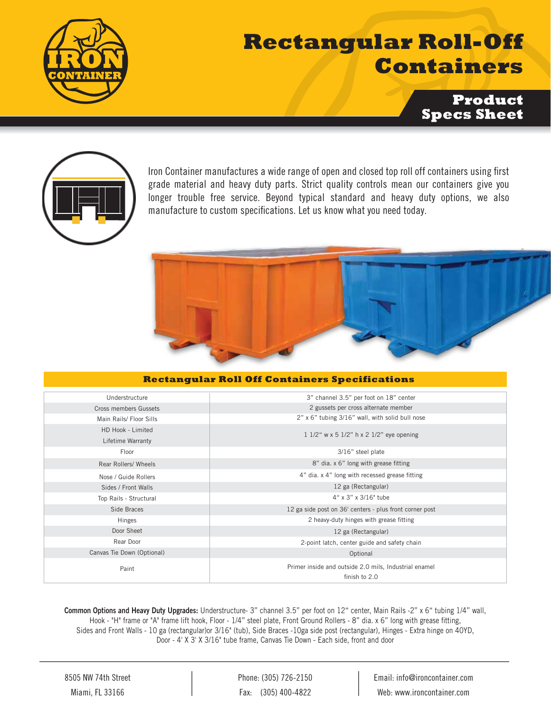

## **Rectangular Roll-Off Containers**

**Product Specs Sheet**



Iron Container manufactures a wide range of open and closed top roll off containers using first grade material and heavy duty parts. Strict quality controls mean our containers give you longer trouble free service. Beyond typical standard and heavy duty options, we also manufacture to custom specifications. Let us know what you need today.

## **Rectangular Roll Off Containers Specifications**

| Understructure             | 3" channel 3.5" per foot on 18" center                                 |  |  |
|----------------------------|------------------------------------------------------------------------|--|--|
| Cross members Gussets      | 2 gussets per cross alternate member                                   |  |  |
| Main Rails/ Floor Sills    | 2" x 6" tubing 3/16" wall, with solid bull nose                        |  |  |
| HD Hook - Limited          |                                                                        |  |  |
| Lifetime Warranty          | 1 1/2" w x 5 1/2" h x 2 1/2" eye opening                               |  |  |
| Floor                      | 3/16" steel plate                                                      |  |  |
| Rear Rollers/ Wheels       | 8" dia. x 6" long with grease fitting                                  |  |  |
| Nose / Guide Rollers       | 4" dia. x 4" long with recessed grease fitting                         |  |  |
| Sides / Front Walls        | 12 ga (Rectangular)                                                    |  |  |
| Top Rails - Structural     | 4" x 3" x 3/16" tube                                                   |  |  |
| Side Braces                | 12 ga side post on 36' centers - plus front corner post                |  |  |
| Hinges                     | 2 heavy-duty hinges with grease fitting                                |  |  |
| Door Sheet                 | 12 ga (Rectangular)                                                    |  |  |
| Rear Door                  | 2-point latch, center guide and safety chain                           |  |  |
| Canvas Tie Down (Optional) | Optional                                                               |  |  |
| Paint                      | Primer inside and outside 2.0 mils, Industrial enamel<br>finish to 2.0 |  |  |

Common Options and Heavy Duty Upgrades: Understructure- 3" channel 3.5" per foot on 12" center, Main Rails -2" x 6" tubing 1/4" wall, Hook - "H" frame or "A" frame lift hook, Floor - 1/4" steel plate, Front Ground Rollers - 8" dia. x 6" long with grease fitting, Sides and Front Walls - 10 ga (rectangular)or 3/16" (tub), Side Braces -10ga side post (rectangular), Hinges - Extra hinge on 40YD, Door - 4' X 3' X 3/16" tube frame, Canvas Tie Down - Each side, front and door

8505 NW 74th Street Miami, FL 33166

Phone: (305) 726-2150 Fax: (305) 400-4822

Email: info@ironcontainer.com Web: www.ironcontainer.com